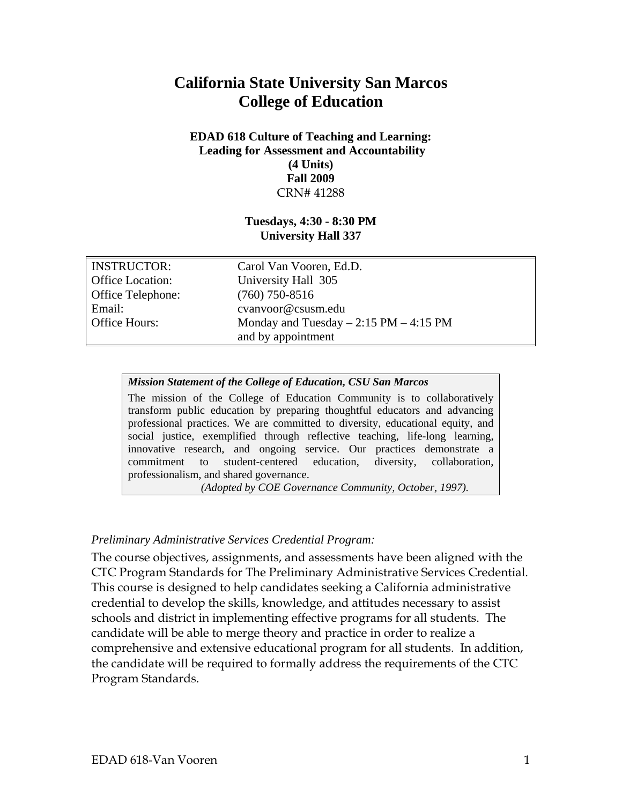# **California State University San Marcos College of Education**

# **EDAD 618 Culture of Teaching and Learning: Leading for Assessment and Accountability (4 Units) Fall 2009**  CRN# 41288

# **Tuesdays, 4:30 - 8:30 PM University Hall 337**

| <b>INSTRUCTOR:</b> | Carol Van Vooren, Ed.D.                  |
|--------------------|------------------------------------------|
| Office Location:   | University Hall 305                      |
| Office Telephone:  | $(760)$ 750-8516                         |
| Email:             | cvanvoor@csusm.edu                       |
| Office Hours:      | Monday and Tuesday $-2:15$ PM $-4:15$ PM |
|                    | and by appointment                       |

### *Mission Statement of the College of Education, CSU San Marcos*

The mission of the College of Education Community is to collaboratively transform public education by preparing thoughtful educators and advancing professional practices. We are committed to diversity, educational equity, and social justice, exemplified through reflective teaching, life-long learning, innovative research, and ongoing service. Our practices demonstrate a commitment to student-centered education, diversity, collaboration, professionalism, and shared governance.

*(Adopted by COE Governance Community, October, 1997).* 

## *Preliminary Administrative Services Credential Program:*

The course objectives, assignments, and assessments have been aligned with the CTC Program Standards for The Preliminary Administrative Services Credential. This course is designed to help candidates seeking a California administrative credential to develop the skills, knowledge, and attitudes necessary to assist schools and district in implementing effective programs for all students. The candidate will be able to merge theory and practice in order to realize a comprehensive and extensive educational program for all students. In addition, the candidate will be required to formally address the requirements of the CTC Program Standards.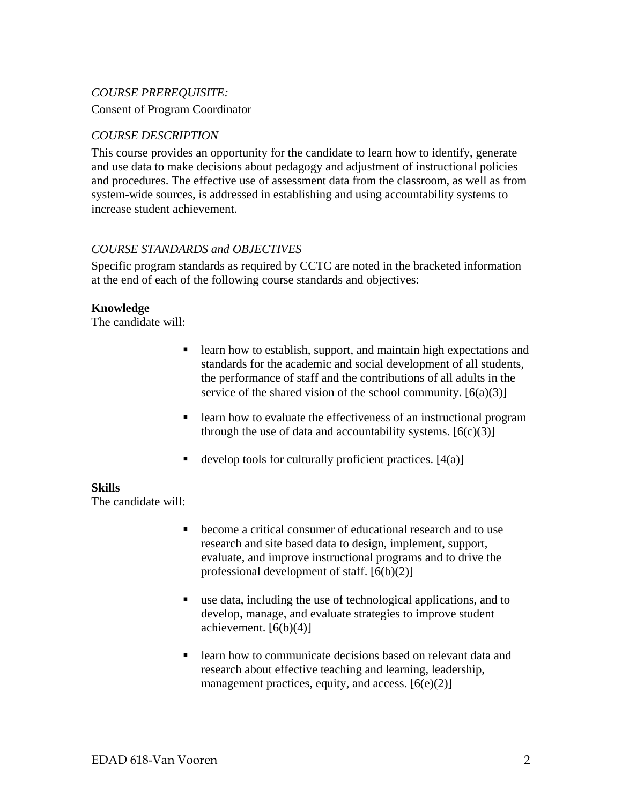# *COURSE PREREQUISITE:*

Consent of Program Coordinator

# *COURSE DESCRIPTION*

This course provides an opportunity for the candidate to learn how to identify, generate and use data to make decisions about pedagogy and adjustment of instructional policies and procedures. The effective use of assessment data from the classroom, as well as from system-wide sources, is addressed in establishing and using accountability systems to increase student achievement.

# *COURSE STANDARDS and OBJECTIVES*

Specific program standards as required by CCTC are noted in the bracketed information at the end of each of the following course standards and objectives:

## **Knowledge**

The candidate will:

- **Exercise 1** learn how to establish, support, and maintain high expectations and standards for the academic and social development of all students, the performance of staff and the contributions of all adults in the service of the shared vision of the school community.  $[6(a)(3)]$
- **Example 1** learn how to evaluate the effectiveness of an instructional program through the use of data and accountability systems.  $[6(c)(3)]$
- develop tools for culturally proficient practices.  $[4(a)]$

## **Skills**

The candidate will:

- become a critical consumer of educational research and to use research and site based data to design, implement, support, evaluate, and improve instructional programs and to drive the professional development of staff. [6(b)(2)]
- use data, including the use of technological applications, and to develop, manage, and evaluate strategies to improve student achievement.  $[6(b)(4)]$
- **E** learn how to communicate decisions based on relevant data and research about effective teaching and learning, leadership, management practices, equity, and access.  $[6(e)(2)]$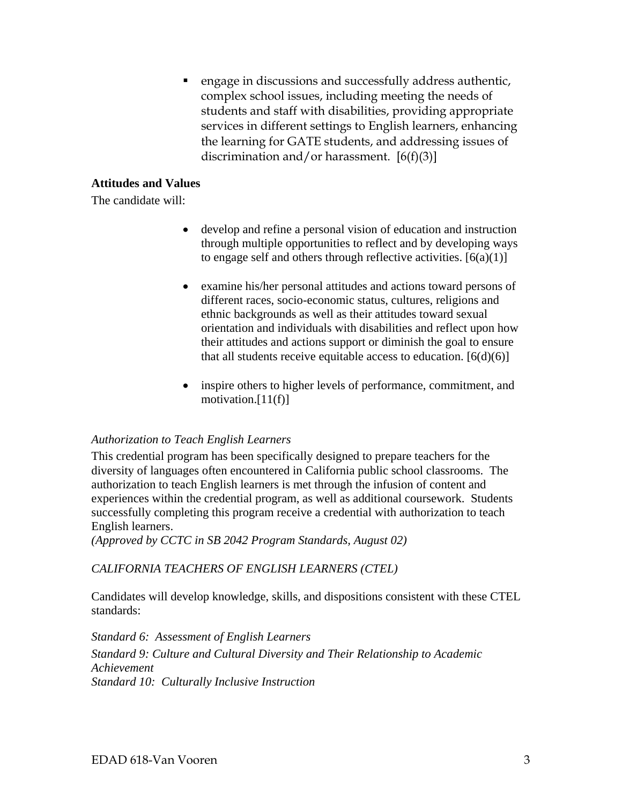engage in discussions and successfully address authentic, complex school issues, including meeting the needs of students and staff with disabilities, providing appropriate services in different settings to English learners, enhancing the learning for GATE students, and addressing issues of discrimination and/or harassment.  $[6(f)(3)]$ 

# **Attitudes and Values**

The candidate will:

- develop and refine a personal vision of education and instruction through multiple opportunities to reflect and by developing ways to engage self and others through reflective activities.  $[6(a)(1)]$
- examine his/her personal attitudes and actions toward persons of different races, socio-economic status, cultures, religions and ethnic backgrounds as well as their attitudes toward sexual orientation and individuals with disabilities and reflect upon how their attitudes and actions support or diminish the goal to ensure that all students receive equitable access to education.  $[6(d)(6)]$
- inspire others to higher levels of performance, commitment, and motivation.[11(f)]

# *Authorization to Teach English Learners*

This credential program has been specifically designed to prepare teachers for the diversity of languages often encountered in California public school classrooms. The authorization to teach English learners is met through the infusion of content and experiences within the credential program, as well as additional coursework. Students successfully completing this program receive a credential with authorization to teach English learners.

(Approved by CCTC in SB 2042 Program Standards, August 02)  *(Approved by CCTC in SB 2042 Program Standards, August 02) CALIFORNIA TEACHERS OF ENGLISH LEARNERS (CTEL)* 

Candidates will develop knowledge, skills, and dispositions consistent with these CTEL standards:

*Standard 6: Assessment of English Learners Standard 9: Culture and Cultural Diversity and Their Relationship to Academic Achievement Standard 10: Culturally Inclusive Instruction*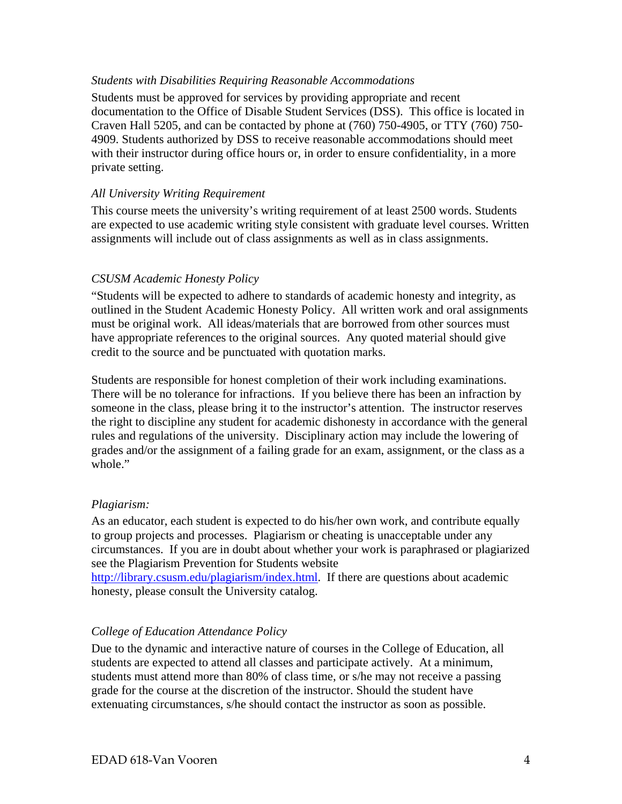### *Students with Disabilities Requiring Reasonable Accommodations*

Students must be approved for services by providing appropriate and recent documentation to the Office of Disable Student Services (DSS). This office is located in Craven Hall 5205, and can be contacted by phone at (760) 750-4905, or TTY (760) 750- 4909. Students authorized by DSS to receive reasonable accommodations should meet with their instructor during office hours or, in order to ensure confidentiality, in a more private setting.

## *All University Writing Requirement*

This course meets the university's writing requirement of at least 2500 words. Students are expected to use academic writing style consistent with graduate level courses. Written assignments will include out of class assignments as well as in class assignments.

## *CSUSM Academic Honesty Policy*

"Students will be expected to adhere to standards of academic honesty and integrity, as outlined in the Student Academic Honesty Policy. All written work and oral assignments must be original work. All ideas/materials that are borrowed from other sources must have appropriate references to the original sources. Any quoted material should give credit to the source and be punctuated with quotation marks.

Students are responsible for honest completion of their work including examinations. There will be no tolerance for infractions. If you believe there has been an infraction by someone in the class, please bring it to the instructor's attention. The instructor reserves the right to discipline any student for academic dishonesty in accordance with the general rules and regulations of the university. Disciplinary action may include the lowering of grades and/or the assignment of a failing grade for an exam, assignment, or the class as a whole."

## *Plagiarism:*

As an educator, each student is expected to do his/her own work, and contribute equally to group projects and processes. Plagiarism or cheating is unacceptable under any circumstances. If you are in doubt about whether your work is paraphrased or plagiarized see the Plagiarism Prevention for Students website

http://library.csusm.edu/plagiarism/index.html. If there are questions about academic honesty, please consult the University catalog.

# *College of Education Attendance Policy*

Due to the dynamic and interactive nature of courses in the College of Education, all students are expected to attend all classes and participate actively. At a minimum, students must attend more than 80% of class time, or s/he may not receive a passing grade for the course at the discretion of the instructor. Should the student have extenuating circumstances, s/he should contact the instructor as soon as possible.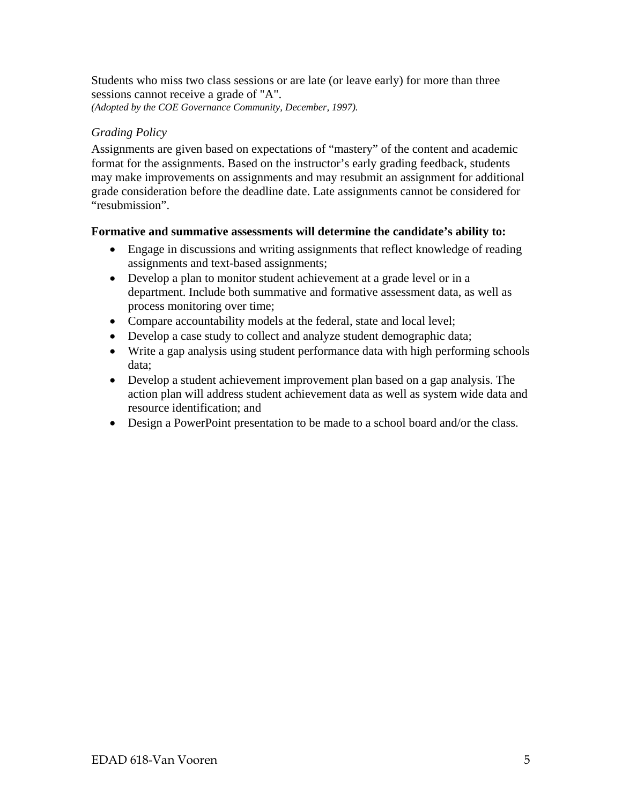*(Adopted by the COE Governance Community, December, 1997). Grading Policy*  Students who miss two class sessions or are late (or leave early) for more than three sessions cannot receive a grade of "A".

Assignments are given based on expectations of "mastery" of the content and academic format for the assignments. Based on the instructor's early grading feedback, students may make improvements on assignments and may resubmit an assignment for additional grade consideration before the deadline date. Late assignments cannot be considered for "resubmission".

# **Formative and summative assessments will determine the candidate's ability to:**

- Engage in discussions and writing assignments that reflect knowledge of reading assignments and text-based assignments;
- Develop a plan to monitor student achievement at a grade level or in a department. Include both summative and formative assessment data, as well as process monitoring over time;
- Compare accountability models at the federal, state and local level;
- Develop a case study to collect and analyze student demographic data;
- Write a gap analysis using student performance data with high performing schools data;
- Develop a student achievement improvement plan based on a gap analysis. The action plan will address student achievement data as well as system wide data and resource identification; and
- Design a PowerPoint presentation to be made to a school board and/or the class.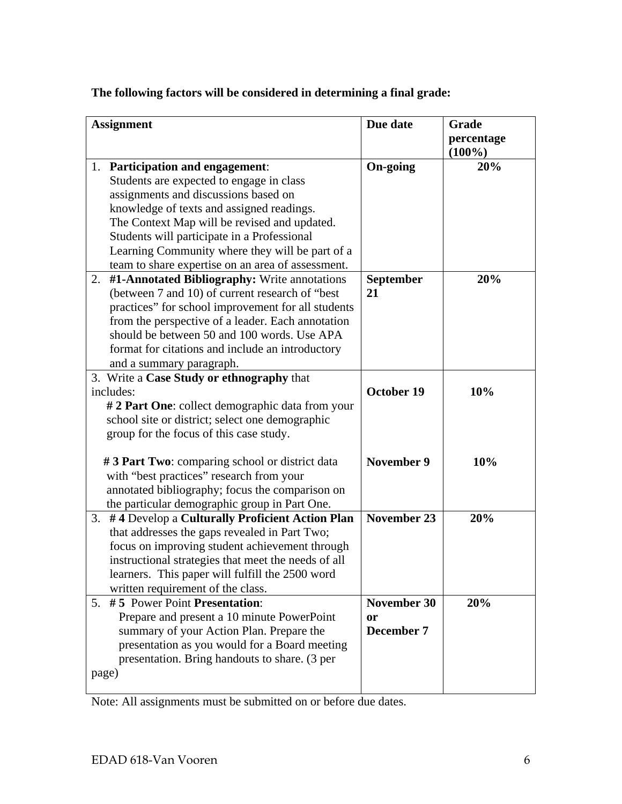|  |  |  | The following factors will be considered in determining a final grade: |  |  |
|--|--|--|------------------------------------------------------------------------|--|--|
|  |  |  |                                                                        |  |  |

| The following factors will be considered in determining a final grade:                                                                                                                                                                                                                                                                                                   |                                 |                                  |  |  |
|--------------------------------------------------------------------------------------------------------------------------------------------------------------------------------------------------------------------------------------------------------------------------------------------------------------------------------------------------------------------------|---------------------------------|----------------------------------|--|--|
| <b>Assignment</b>                                                                                                                                                                                                                                                                                                                                                        | Due date                        | Grade<br>percentage<br>$(100\%)$ |  |  |
| 1. Participation and engagement:<br>Students are expected to engage in class<br>assignments and discussions based on<br>knowledge of texts and assigned readings.<br>The Context Map will be revised and updated.<br>Students will participate in a Professional<br>Learning Community where they will be part of a<br>team to share expertise on an area of assessment. | <b>On-going</b>                 | 20%                              |  |  |
| #1-Annotated Bibliography: Write annotations<br>2.<br>(between 7 and 10) of current research of "best<br>practices" for school improvement for all students<br>from the perspective of a leader. Each annotation<br>should be between 50 and 100 words. Use APA<br>format for citations and include an introductory<br>and a summary paragraph.                          | <b>September</b><br>21          | 20%                              |  |  |
| 3. Write a Case Study or ethnography that<br>includes:<br># 2 Part One: collect demographic data from your<br>school site or district; select one demographic<br>group for the focus of this case study.                                                                                                                                                                 | October 19                      | 10%                              |  |  |
| #3 Part Two: comparing school or district data<br>with "best practices" research from your<br>annotated bibliography; focus the comparison on<br>the particular demographic group in Part One.                                                                                                                                                                           | <b>November 9</b>               | 10%                              |  |  |
| 3. #4 Develop a Culturally Proficient Action Plan<br>that addresses the gaps revealed in Part Two;<br>focus on improving student achievement through<br>instructional strategies that meet the needs of all<br>learners. This paper will fulfill the 2500 word<br>written requirement of the class.                                                                      | <b>November 23</b>              | 20%                              |  |  |
| 5. #5 Power Point Presentation:<br>Prepare and present a 10 minute PowerPoint<br>summary of your Action Plan. Prepare the<br>presentation as you would for a Board meeting<br>presentation. Bring handouts to share. (3 per<br>page)                                                                                                                                     | November 30<br>or<br>December 7 | 20%                              |  |  |

Note: All assignments must be submitted on or before due dates.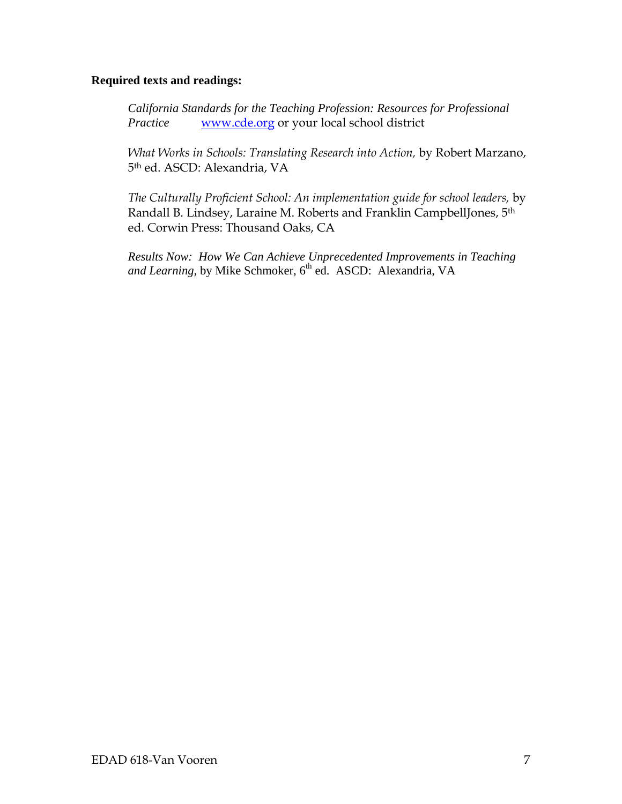# **Required texts and readings:**

Practice *California Standards for the Teaching Profession: Resources for Professional*  www.cde.org or your local school district

*What Works in Schools: Translating Research into Action,* by Robert Marzano, 5th ed. ASCD: Alexandria, VA

*The Culturally Proficient School: An implementation guide for school leaders,* by Randall B. Lindsey, Laraine M. Roberts and Franklin CampbellJones, 5th ed. Corwin Press: Thousand Oaks, CA

*Results Now: How We Can Achieve Unprecedented Improvements in Teaching*  and Learning, by Mike Schmoker, 6<sup>th</sup> ed. ASCD: Alexandria, VA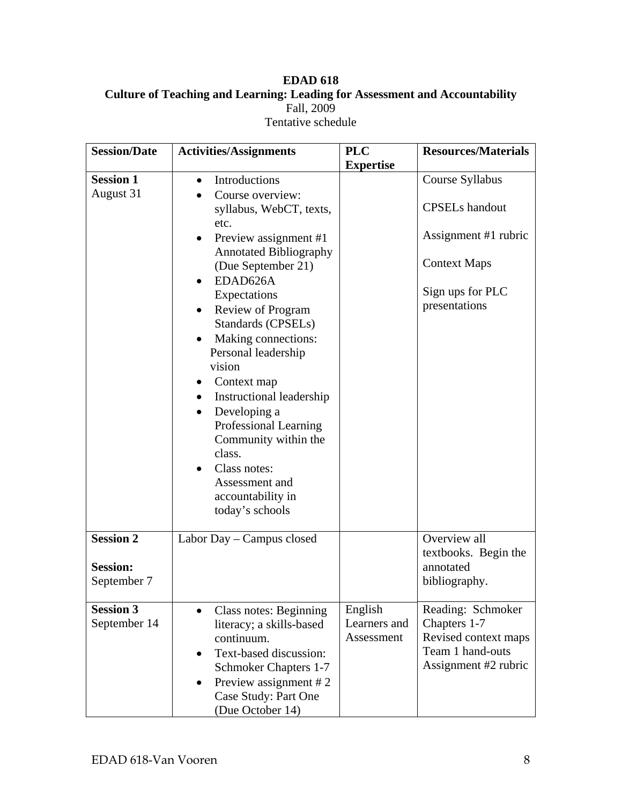# **EDAD 618 Culture of Teaching and Learning: Leading for Assessment and Accountability** Fall, 2009 Tentative schedule

| <b>Session/Date</b>              | <b>Activities/Assignments</b>                                                                                                                                                                                                                                                                                                                                     | <b>PLC</b>                            | <b>Resources/Materials</b>                                                                            |
|----------------------------------|-------------------------------------------------------------------------------------------------------------------------------------------------------------------------------------------------------------------------------------------------------------------------------------------------------------------------------------------------------------------|---------------------------------------|-------------------------------------------------------------------------------------------------------|
|                                  |                                                                                                                                                                                                                                                                                                                                                                   | <b>Expertise</b>                      |                                                                                                       |
| <b>Session 1</b>                 | Introductions                                                                                                                                                                                                                                                                                                                                                     |                                       | Course Syllabus                                                                                       |
| August 31                        | Course overview:<br>syllabus, WebCT, texts,<br>etc.                                                                                                                                                                                                                                                                                                               |                                       | <b>CPSELs</b> handout                                                                                 |
|                                  | Preview assignment #1                                                                                                                                                                                                                                                                                                                                             |                                       | Assignment #1 rubric                                                                                  |
|                                  | <b>Annotated Bibliography</b><br>(Due September 21)                                                                                                                                                                                                                                                                                                               |                                       | <b>Context Maps</b>                                                                                   |
|                                  | EDAD626A<br>$\bullet$<br>Expectations<br><b>Review of Program</b><br>Standards (CPSELs)<br>Making connections:<br>Personal leadership<br>vision<br>Context map<br>Instructional leadership<br>٠<br>Developing a<br>$\bullet$<br>Professional Learning<br>Community within the<br>class.<br>Class notes:<br>Assessment and<br>accountability in<br>today's schools |                                       | Sign ups for PLC<br>presentations                                                                     |
| <b>Session 2</b>                 | Labor Day - Campus closed                                                                                                                                                                                                                                                                                                                                         |                                       | Overview all                                                                                          |
| <b>Session:</b><br>September 7   |                                                                                                                                                                                                                                                                                                                                                                   |                                       | textbooks. Begin the<br>annotated<br>bibliography.                                                    |
| <b>Session 3</b><br>September 14 | Class notes: Beginning<br>$\bullet$<br>literacy; a skills-based<br>continuum.<br>Text-based discussion:<br>$\bullet$<br>Schmoker Chapters 1-7<br>Preview assignment #2<br>Case Study: Part One<br>(Due October 14)                                                                                                                                                | English<br>Learners and<br>Assessment | Reading: Schmoker<br>Chapters 1-7<br>Revised context maps<br>Team 1 hand-outs<br>Assignment #2 rubric |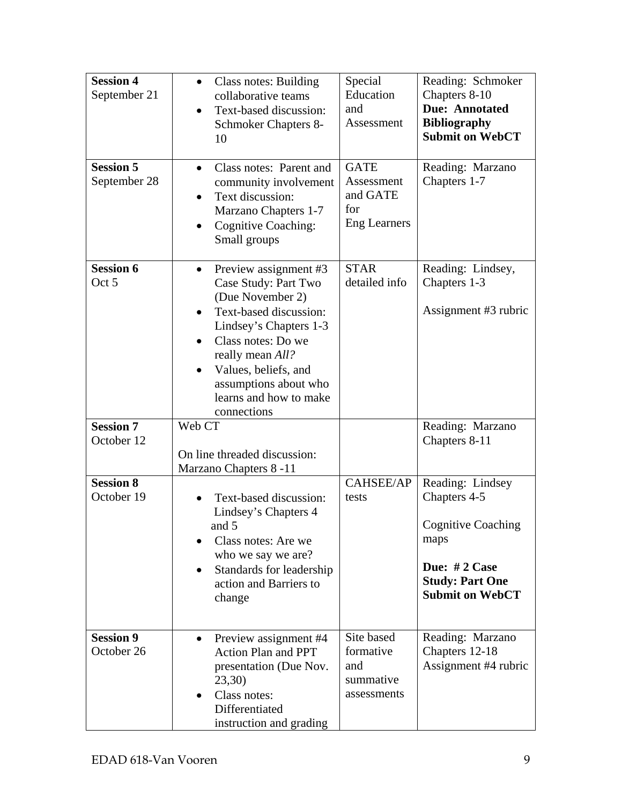| <b>Session 4</b><br>September 21 | <b>Class notes: Building</b><br>$\bullet$<br>collaborative teams<br>Text-based discussion:<br><b>Schmoker Chapters 8-</b><br>10                                                                                                                                        | Special<br>Education<br>and<br>Assessment                    | Reading: Schmoker<br>Chapters 8-10<br><b>Due: Annotated</b><br><b>Bibliography</b><br><b>Submit on WebCT</b>                              |
|----------------------------------|------------------------------------------------------------------------------------------------------------------------------------------------------------------------------------------------------------------------------------------------------------------------|--------------------------------------------------------------|-------------------------------------------------------------------------------------------------------------------------------------------|
| <b>Session 5</b><br>September 28 | Class notes: Parent and<br>$\bullet$<br>community involvement<br>Text discussion:<br>$\bullet$<br>Marzano Chapters 1-7<br>Cognitive Coaching:<br>Small groups                                                                                                          | <b>GATE</b><br>Assessment<br>and GATE<br>for<br>Eng Learners | Reading: Marzano<br>Chapters 1-7                                                                                                          |
| <b>Session 6</b><br>Oct 5        | Preview assignment #3<br>$\bullet$<br>Case Study: Part Two<br>(Due November 2)<br>Text-based discussion:<br>Lindsey's Chapters 1-3<br>Class notes: Do we<br>really mean All?<br>Values, beliefs, and<br>assumptions about who<br>learns and how to make<br>connections | <b>STAR</b><br>detailed info                                 | Reading: Lindsey,<br>Chapters 1-3<br>Assignment #3 rubric                                                                                 |
| <b>Session 7</b><br>October 12   | Web CT<br>On line threaded discussion:<br>Marzano Chapters 8 -11                                                                                                                                                                                                       |                                                              | Reading: Marzano<br>Chapters 8-11                                                                                                         |
| <b>Session 8</b><br>October 19   | Text-based discussion:<br>Lindsey's Chapters 4<br>and 5<br>Class notes: Are we<br>who we say we are?<br>Standards for leadership<br>$\bullet$<br>action and Barriers to<br>change                                                                                      | <b>CAHSEE/AP</b><br>tests                                    | Reading: Lindsey<br>Chapters 4-5<br><b>Cognitive Coaching</b><br>maps<br>Due: #2 Case<br><b>Study: Part One</b><br><b>Submit on WebCT</b> |
| <b>Session 9</b><br>October 26   | Preview assignment #4<br><b>Action Plan and PPT</b><br>presentation (Due Nov.<br>23,30)<br>Class notes:<br>$\bullet$<br>Differentiated<br>instruction and grading                                                                                                      | Site based<br>formative<br>and<br>summative<br>assessments   | Reading: Marzano<br>Chapters 12-18<br>Assignment #4 rubric                                                                                |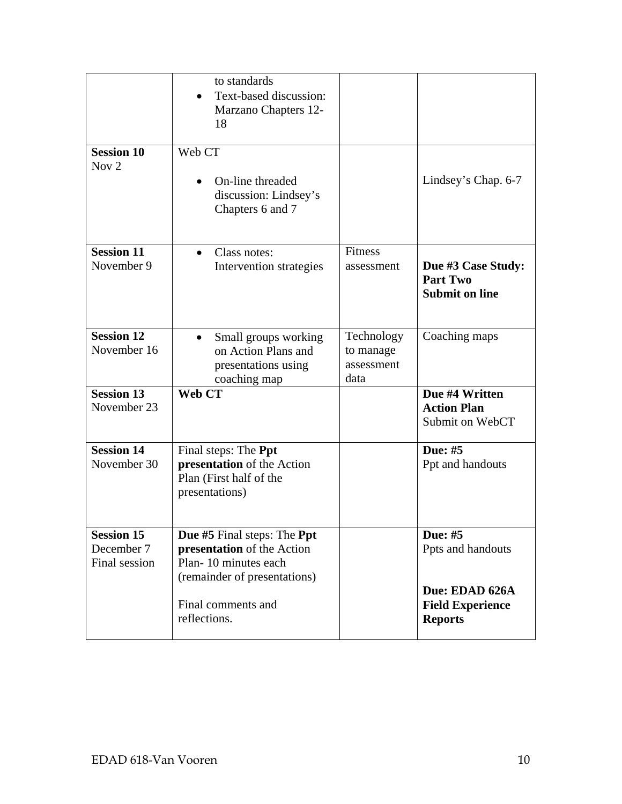|                                                  | to standards<br>Text-based discussion:<br>Marzano Chapters 12-<br>18                                                                                    |                                               |                                                                                             |
|--------------------------------------------------|---------------------------------------------------------------------------------------------------------------------------------------------------------|-----------------------------------------------|---------------------------------------------------------------------------------------------|
| <b>Session 10</b><br>Nov $2$                     | Web CT<br>On-line threaded<br>discussion: Lindsey's<br>Chapters 6 and 7                                                                                 |                                               | Lindsey's Chap. 6-7                                                                         |
| <b>Session 11</b><br>November 9                  | Class notes:<br>$\bullet$<br>Intervention strategies                                                                                                    | Fitness<br>assessment                         | Due #3 Case Study:<br><b>Part Two</b><br><b>Submit on line</b>                              |
| <b>Session 12</b><br>November 16                 | Small groups working<br>$\bullet$<br>on Action Plans and<br>presentations using<br>coaching map                                                         | Technology<br>to manage<br>assessment<br>data | Coaching maps                                                                               |
| <b>Session 13</b><br>November 23                 | Web CT                                                                                                                                                  |                                               | Due #4 Written<br><b>Action Plan</b><br>Submit on WebCT                                     |
| <b>Session 14</b><br>November 30                 | Final steps: The Ppt<br>presentation of the Action<br>Plan (First half of the<br>presentations)                                                         |                                               | Due: #5<br>Ppt and handouts                                                                 |
| <b>Session 15</b><br>December 7<br>Final session | Due #5 Final steps: The Ppt<br>presentation of the Action<br>Plan-10 minutes each<br>(remainder of presentations)<br>Final comments and<br>reflections. |                                               | Due: #5<br>Ppts and handouts<br>Due: EDAD 626A<br><b>Field Experience</b><br><b>Reports</b> |